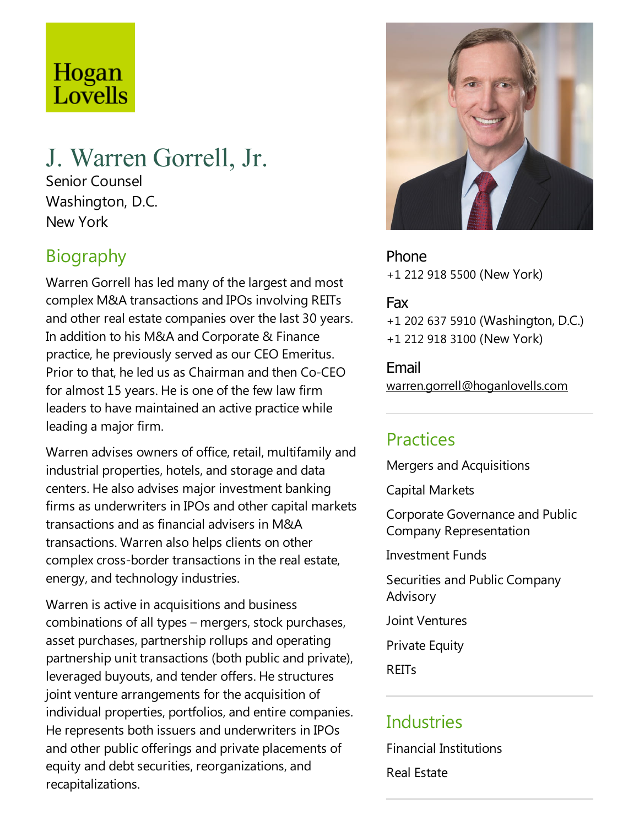# Hogan Lovells

## J. Warren Gorrell, Jr.

Senior Counsel Washington, D.C. New York

### **Biography**

Warren Gorrell has led many of the largest and most complex M&A transactions and IPOs involving REITs and other real estate companies over the last 30 years. In addition to his M&A and Corporate & Finance practice, he previously served as our CEO Emeritus. Prior to that, heled us as Chairman and then Co-CEO for almost 15 years. He is one of the few law firm leaders to have maintained an active practice while leading a major firm.

Warren advises owners of office, retail, multifamily and industrial properties, hotels, and storage and data centers. He also advises major investment banking firms as underwriters in IPOs and other capital markets transactions and as financial advisers in M&A transactions. Warren also helps clients on other complex cross-border transactions in the real estate, energy, and technology industries.

Warren is active in acquisitions and business combinations of all types – mergers, stock purchases, asset purchases, partnership rollups and operating partnership unit transactions (both public and private), leveraged buyouts, and tender offers. He structures joint venture arrangements for the acquisition of individual properties, portfolios, and entire companies. He represents both issuers and underwriters in IPOs and other public offerings and private placements of equity and debt securities, reorganizations, and recapitalizations.



Phone +1 212 918 5500 (New York)

#### Fax

+1 202 637 5910 (Washington, D.C.) +1 212 918 3100 (New York)

Email warren.gorrell@hoganlovells.com

#### Practices

Mergers and Acquisitions

Capital Markets

Corporate Governance and Public Company Representation

**Investment Funds** 

Securities and Public Company Advisory

Joint Ventures

**Private Equity** 

**REITs** 

#### **Industries**

Financial Institutions

Real Estate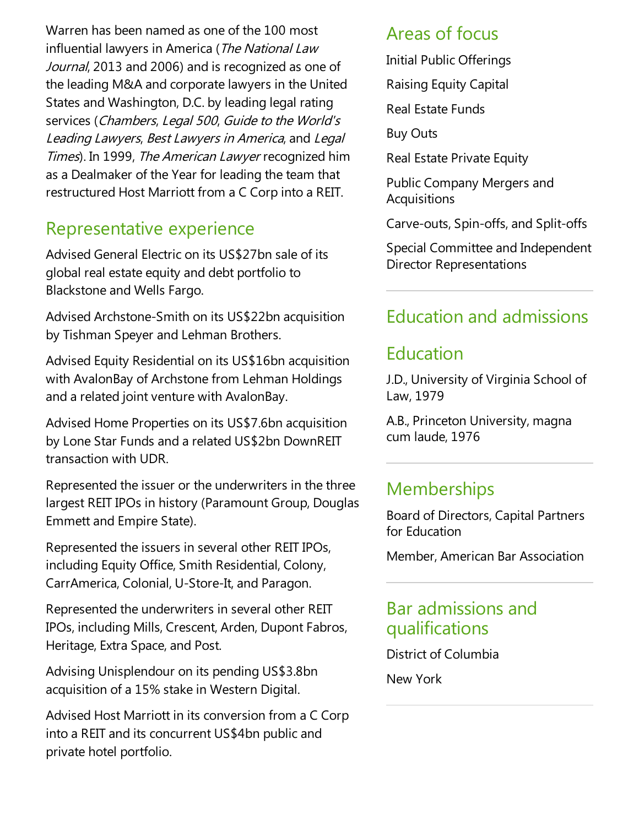Warren has been named as one of the 100 most influential lawyers in America (The National Law Journal, 2013 and 2006) and is recognized as one of the leading M&A and corporate lawyers in the United States and Washington, D.C. by leading legal rating services (Chambers, Legal 500, Guide to the World's Leading Lawyers, Best Lawyers in America, and Legal Times). In 1999, The American Lawyer recognized him as a Dealmaker of the Year for leading the team that restructured Host Marriott from a C Corp into a REIT.

#### Representative experience

Advised General Electric on its US\$27bn sale of its global real estate equity and debt portfolio to Blackstone and Wells Fargo.

Advised Archstone-Smith on its US\$22bn acquisition by Tishman Speyer and Lehman Brothers.

Advised Equity Residential on its US\$16bn acquisition with AvalonBay of Archstone from Lehman Holdings and a related joint venture with AvalonBay.

Advised Home Properties on its US\$7.6bn acquisition by Lone Star Funds and a related US\$2bn DownREIT transaction with UDR.

Represented the issuer or the underwriters in the three largest REIT IPOs in history (Paramount Group, Douglas Emmett and Empire State).

Represented the issuers in several other REIT IPOs, including Equity Office, Smith Residential, Colony, CarrAmerica, Colonial, U-Store-It, and Paragon.

Represented the underwriters in several other REIT IPOs, including Mills, Crescent, Arden, Dupont Fabros, Heritage, Extra Space, and Post.

Advising Unisplendour on its pending US\$3.8bn acquisition of a 15% stake in Western Digital.

Advised Host Marriott in its conversion from a C Corp into a REIT and its concurrent US\$4bn public and private hotel portfolio.

#### Areas of focus

Initial Public Offerings

Raising Equity Capital

**Real Estate Funds** 

Buy Outs

Real Estate Private Equity

Public Company Mergers and Acquisitions

Carve-outs, Spin-offs,and Split-offs

Special Committee and Independent Director Representations

#### Education and admissions

#### Education

J.D., University of Virginia School of Law, 1979

A.B., Princeton University, magna cum laude, 1976

#### **Memberships**

Board of Directors, Capital Partners for Education

Member, American Bar Association

#### Bar admissions and qualifications

District of Columbia

New York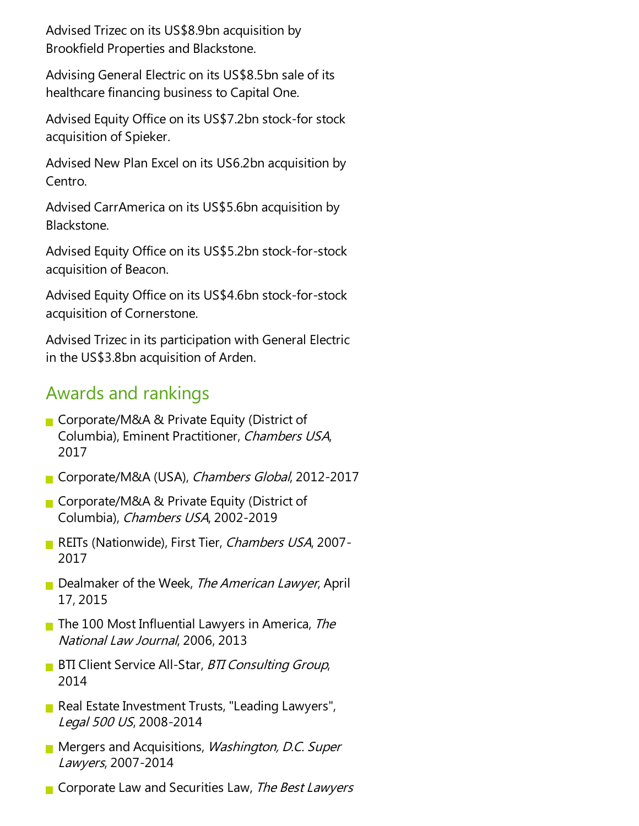Advised Trizec on its US\$8.9bn acquisition by Brookfield Properties and Blackstone.

Advising General Electric on its US\$8.5bn sale of its healthcare financing business to Capital One.

Advised Equity Office on its US\$7.2bn stock-for stock acquisition of Spieker.

Advised New Plan Excel on its US6.2bn acquisition by Centro.

Advised CarrAmerica on its US\$5.6bn acquisition by Blackstone.

Advised Equity Office on its US\$5.2bn stock-for-stock acquisition of Beacon.

Advised Equity Office on its US\$4.6bn stock-for-stock acquisition of Cornerstone.

Advised Trizec in its participation with General Electric in the US\$3.8bn acquisition of Arden.

#### Awards and rankings

- Corporate/M&A & Private Equity (District of Columbia), Eminent Practitioner, Chambers USA, 2017
- Corporate/M&A (USA), Chambers Global, 2012-2017
- Corporate/M&A & Private Equity (District of Columbia), Chambers USA, 2002-2019
- REITs (Nationwide), First Tier, Chambers USA, 2007-2017
- Dealmaker of the Week, The American Lawyer, April 17, 2015
- **The 100 Most Influential Lawyers in America, The** National Law Journal, 2006, 2013
- **BTI Client Service All-Star, BTI Consulting Group,** 2014
- Real Estate Investment Trusts, "Leading Lawyers", Legal <sup>500</sup> US, 2008-2014
- **Mergers and Acquisitions, Washington, D.C. Super** Lawyers, 2007-2014
- Corporate Law and Securities Law, The Best Lawyers